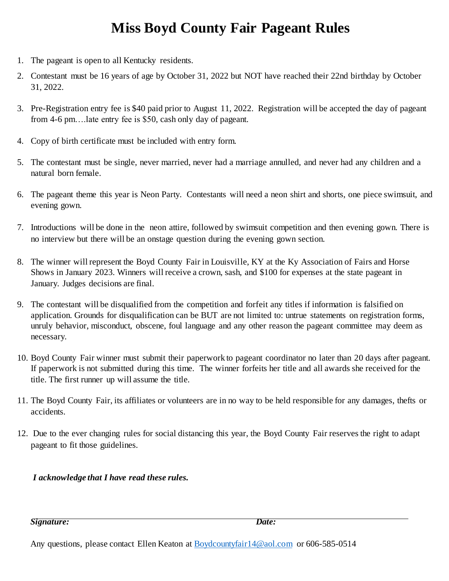## **Miss Boyd County Fair Pageant Rules**

- 1. The pageant is open to all Kentucky residents.
- 2. Contestant must be 16 years of age by October 31, 2022 but NOT have reached their 22nd birthday by October 31, 2022.
- 3. Pre-Registration entry fee is \$40 paid prior to August 11, 2022. Registration will be accepted the day of pageant from 4-6 pm….late entry fee is \$50, cash only day of pageant.
- 4. Copy of birth certificate must be included with entry form.
- 5. The contestant must be single, never married, never had a marriage annulled, and never had any children and a natural born female.
- 6. The pageant theme this year is Neon Party. Contestants will need a neon shirt and shorts, one piece swimsuit, and evening gown.
- 7. Introductions will be done in the neon attire, followed by swimsuit competition and then evening gown. There is no interview but there will be an onstage question during the evening gown section.
- 8. The winner will represent the Boyd County Fair in Louisville, KY at the Ky Association of Fairs and Horse Shows in January 2023. Winners will receive a crown, sash, and \$100 for expenses at the state pageant in January. Judges decisions are final.
- 9. The contestant will be disqualified from the competition and forfeit any titles if information is falsified on application. Grounds for disqualification can be BUT are not limited to: untrue statements on registration forms, unruly behavior, misconduct, obscene, foul language and any other reason the pageant committee may deem as necessary.
- 10. Boyd County Fair winner must submit their paperwork to pageant coordinator no later than 20 days after pageant. If paperwork is not submitted during this time. The winner forfeits her title and all awards she received for the title. The first runner up will assume the title.
- 11. The Boyd County Fair, its affiliates or volunteers are in no way to be held responsible for any damages, thefts or accidents.
- 12. Due to the ever changing rules for social distancing this year, the Boyd County Fair reserves the right to adapt pageant to fit those guidelines.

*I acknowledge that I have read these rules.* 

*Signature: Date:* 

Any questions, please contact Ellen Keaton at **Boydcountyfair** 14@aol.com or 606-585-0514